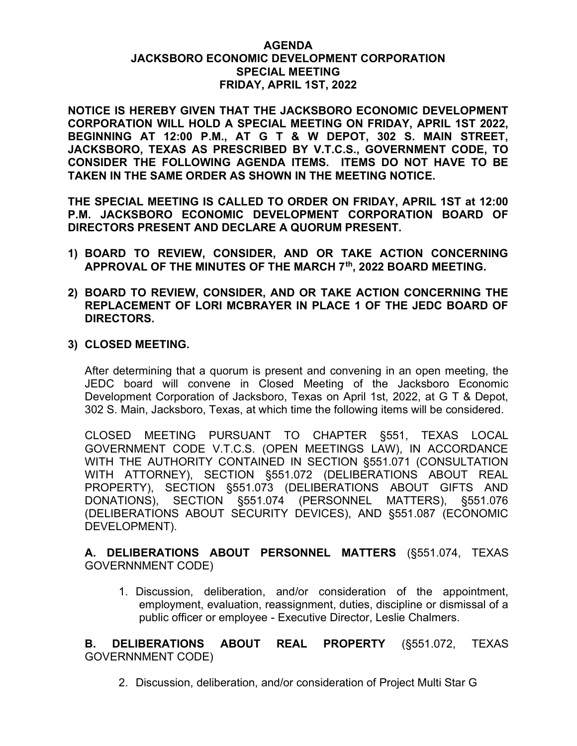## AGENDA JACKSBORO ECONOMIC DEVELOPMENT CORPORATION SPECIAL MEETING FRIDAY, APRIL 1ST, 2022

NOTICE IS HEREBY GIVEN THAT THE JACKSBORO ECONOMIC DEVELOPMENT CORPORATION WILL HOLD A SPECIAL MEETING ON FRIDAY, APRIL 1ST 2022, BEGINNING AT 12:00 P.M., AT G T & W DEPOT, 302 S. MAIN STREET, JACKSBORO, TEXAS AS PRESCRIBED BY V.T.C.S., GOVERNMENT CODE, TO CONSIDER THE FOLLOWING AGENDA ITEMS. ITEMS DO NOT HAVE TO BE TAKEN IN THE SAME ORDER AS SHOWN IN THE MEETING NOTICE.

THE SPECIAL MEETING IS CALLED TO ORDER ON FRIDAY, APRIL 1ST at 12:00 P.M. JACKSBORO ECONOMIC DEVELOPMENT CORPORATION BOARD OF DIRECTORS PRESENT AND DECLARE A QUORUM PRESENT.

- 1) BOARD TO REVIEW, CONSIDER, AND OR TAKE ACTION CONCERNING APPROVAL OF THE MINUTES OF THE MARCH 7th, 2022 BOARD MEETING.
- 2) BOARD TO REVIEW, CONSIDER, AND OR TAKE ACTION CONCERNING THE REPLACEMENT OF LORI MCBRAYER IN PLACE 1 OF THE JEDC BOARD OF DIRECTORS.

#### 3) CLOSED MEETING.

After determining that a quorum is present and convening in an open meeting, the JEDC board will convene in Closed Meeting of the Jacksboro Economic Development Corporation of Jacksboro, Texas on April 1st, 2022, at G T & Depot, 302 S. Main, Jacksboro, Texas, at which time the following items will be considered.

CLOSED MEETING PURSUANT TO CHAPTER §551, TEXAS LOCAL GOVERNMENT CODE V.T.C.S. (OPEN MEETINGS LAW), IN ACCORDANCE WITH THE AUTHORITY CONTAINED IN SECTION §551.071 (CONSULTATION WITH ATTORNEY), SECTION §551.072 (DELIBERATIONS ABOUT REAL PROPERTY), SECTION §551.073 (DELIBERATIONS ABOUT GIFTS AND DONATIONS), SECTION §551.074 (PERSONNEL MATTERS), §551.076 (DELIBERATIONS ABOUT SECURITY DEVICES), AND §551.087 (ECONOMIC DEVELOPMENT).

# A. DELIBERATIONS ABOUT PERSONNEL MATTERS (§551.074, TEXAS GOVERNNMENT CODE)

1. Discussion, deliberation, and/or consideration of the appointment, employment, evaluation, reassignment, duties, discipline or dismissal of a public officer or employee - Executive Director, Leslie Chalmers.

B. DELIBERATIONS ABOUT REAL PROPERTY (§551.072, TEXAS GOVERNNMENT CODE)

2. Discussion, deliberation, and/or consideration of Project Multi Star G